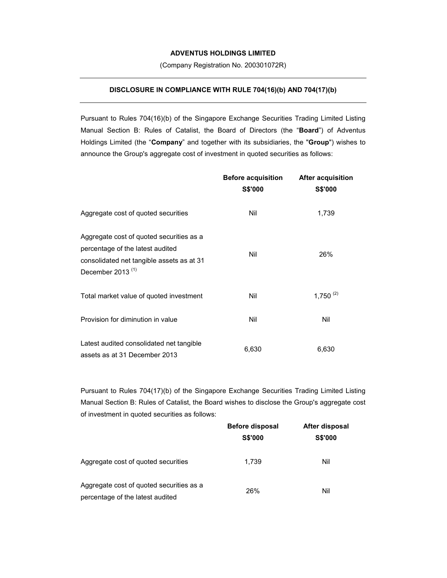## **ADVENTUS HOLDINGS LIMITED**

(Company Registration No. 200301072R)

## **DISCLOSURE IN COMPLIANCE WITH RULE 704(16)(b) AND 704(17)(b)**

Pursuant to Rules 704(16)(b) of the Singapore Exchange Securities Trading Limited Listing Manual Section B: Rules of Catalist, the Board of Directors (the "**Board**") of Adventus Holdings Limited (the "**Company**" and together with its subsidiaries, the "**Group**") wishes to announce the Group's aggregate cost of investment in quoted securities as follows:

|                                                                                                                                                  | <b>Before acquisition</b><br><b>S\$'000</b> | <b>After acquisition</b><br><b>S\$'000</b> |
|--------------------------------------------------------------------------------------------------------------------------------------------------|---------------------------------------------|--------------------------------------------|
| Aggregate cost of quoted securities                                                                                                              | Nil                                         | 1,739                                      |
| Aggregate cost of quoted securities as a<br>percentage of the latest audited<br>consolidated net tangible assets as at 31<br>December 2013 $(1)$ | Nil                                         | 26%                                        |
| Total market value of quoted investment                                                                                                          | Nil                                         | $1,750^{(2)}$                              |
| Provision for diminution in value                                                                                                                | Nil                                         | Nil                                        |
| Latest audited consolidated net tangible<br>assets as at 31 December 2013                                                                        | 6,630                                       | 6,630                                      |

Pursuant to Rules 704(17)(b) of the Singapore Exchange Securities Trading Limited Listing Manual Section B: Rules of Catalist, the Board wishes to disclose the Group's aggregate cost of investment in quoted securities as follows:

|                                                                              | <b>Before disposal</b><br><b>S\$'000</b> | After disposal<br><b>S\$'000</b> |
|------------------------------------------------------------------------------|------------------------------------------|----------------------------------|
|                                                                              |                                          |                                  |
| Aggregate cost of quoted securities                                          | 1.739                                    | Nil                              |
| Aggregate cost of quoted securities as a<br>percentage of the latest audited | 26%                                      | Nil                              |